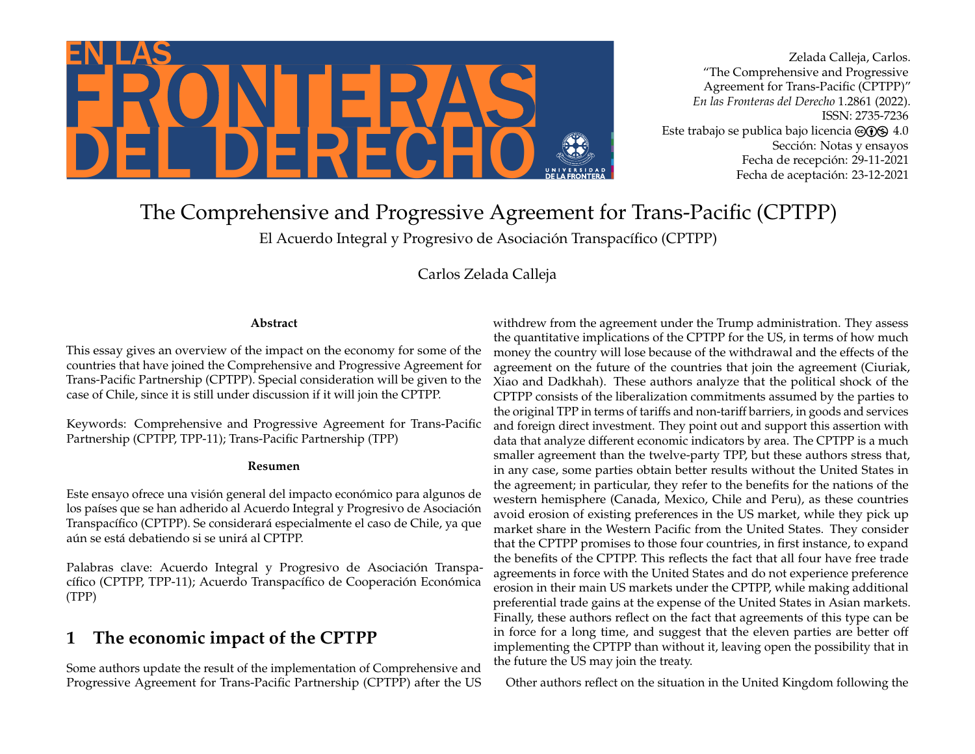

Zelada Calleja, Carlos. "The Comprehensive and Progressive Agreement for Trans-Pacific (CPTPP)" *En las Fronteras del Derecho* 1.2861 (2022). ISSN: 2735-7236 Este trabajo se publica bajo licencia  $\odot$   $\odot$   $\odot$  4.0 Sección: Notas y ensayos Fecha de recepción: 29-11-2021 Fecha de aceptación: 23-12-2021

# The Comprehensive and Progressive Agreement for Trans-Pacific (CPTPP)

El Acuerdo Integral y Progresivo de Asociación Transpacífico (CPTPP)

Carlos Zelada Calleja

### **Abstract**

This essay gives an overview of the impact on the economy for some of the countries that have joined the Comprehensive and Progressive Agreement for Trans-Pacific Partnership (CPTPP). Special consideration will be given to the case of Chile, since it is still under discussion if it will join the CPTPP.

Keywords: Comprehensive and Progressive Agreement for Trans-Pacific Partnership (CPTPP, TPP-11); Trans-Pacific Partnership (TPP)

#### **Resumen**

Este ensayo ofrece una visión general del impacto económico para algunos de los países que se han adherido al Acuerdo Integral y Progresivo de Asociación Transpacífico (CPTPP). Se considerará especialmente el caso de Chile, ya que aún se está debatiendo si se unirá al CPTPP.

Palabras clave: Acuerdo Integral y Progresivo de Asociación Transpacífico (CPTPP, TPP-11); Acuerdo Transpacífico de Cooperación Económica (TPP)

# **1 The economic impact of the CPTPP**

Some authors update the result of the implementation of Comprehensive and Progressive Agreement for Trans-Pacific Partnership (CPTPP) after the US

withdrew from the agreement under the Trump administration. They assess the quantitative implications of the CPTPP for the US, in terms of how much money the country will lose because of the withdrawal and the effects of the agreement on the future of the countries that join the agreement (Ciuriak, Xiao and Dadkhah). These authors analyze that the political shock of the CPTPP consists of the liberalization commitments assumed by the parties to the original TPP in terms of tariffs and non-tariff barriers, in goods and services and foreign direct investment. They point out and support this assertion with data that analyze different economic indicators by area. The CPTPP is a much smaller agreement than the twelve-party TPP, but these authors stress that, in any case, some parties obtain better results without the United States in the agreement; in particular, they refer to the benefits for the nations of the western hemisphere (Canada, Mexico, Chile and Peru), as these countries avoid erosion of existing preferences in the US market, while they pick up market share in the Western Pacific from the United States. They consider that the CPTPP promises to those four countries, in first instance, to expand the benefits of the CPTPP. This reflects the fact that all four have free trade agreements in force with the United States and do not experience preference erosion in their main US markets under the CPTPP, while making additional preferential trade gains at the expense of the United States in Asian markets. Finally, these authors reflect on the fact that agreements of this type can be in force for a long time, and suggest that the eleven parties are better off implementing the CPTPP than without it, leaving open the possibility that in the future the US may join the treaty.

Other authors reflect on the situation in the United Kingdom following the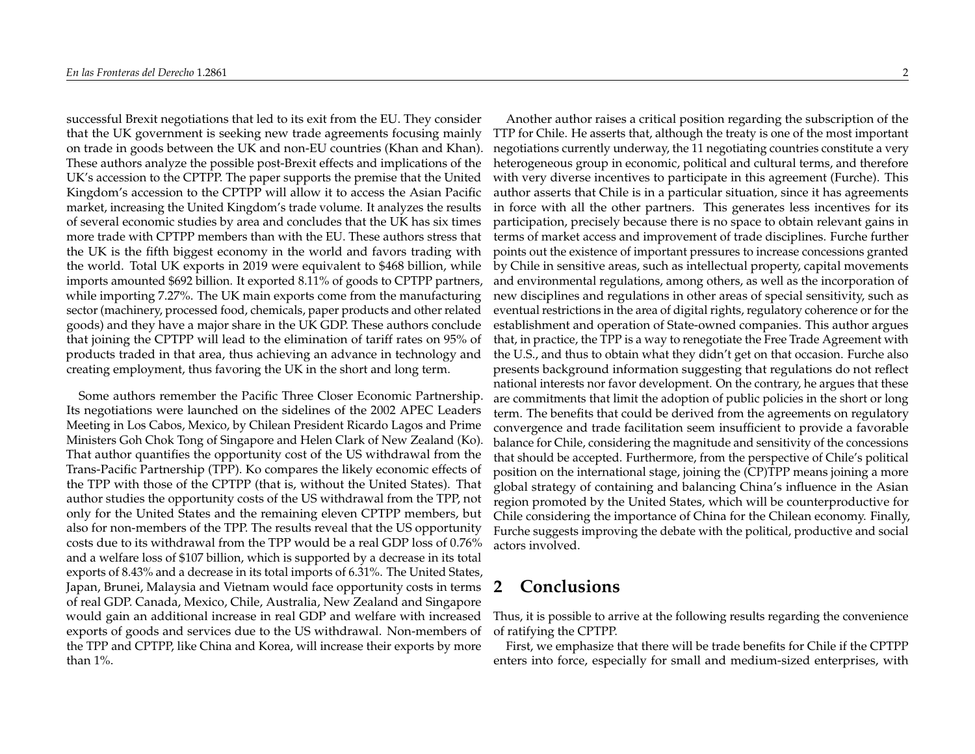successful Brexit negotiations that led to its exit from the EU. They consider that the UK government is seeking new trade agreements focusing mainly on trade in goods between the UK and non-EU countries (Khan and Khan). These authors analyze the possible post-Brexit effects and implications of the UK's accession to the CPTPP. The paper supports the premise that the United Kingdom's accession to the CPTPP will allow it to access the Asian Pacific market, increasing the United Kingdom's trade volume. It analyzes the results of several economic studies by area and concludes that the UK has six times more trade with CPTPP members than with the EU. These authors stress that the UK is the fifth biggest economy in the world and favors trading with the world. Total UK exports in 2019 were equivalent to \$468 billion, while imports amounted \$692 billion. It exported 8.11% of goods to CPTPP partners, while importing 7.27%. The UK main exports come from the manufacturing sector (machinery, processed food, chemicals, paper products and other related goods) and they have a major share in the UK GDP. These authors conclude that joining the CPTPP will lead to the elimination of tariff rates on 95% of products traded in that area, thus achieving an advance in technology and creating employment, thus favoring the UK in the short and long term.

Some authors remember the Pacific Three Closer Economic Partnership. Its negotiations were launched on the sidelines of the 2002 APEC Leaders Meeting in Los Cabos, Mexico, by Chilean President Ricardo Lagos and Prime Ministers Goh Chok Tong of Singapore and Helen Clark of New Zealand (Ko). That author quantifies the opportunity cost of the US withdrawal from the Trans-Pacific Partnership (TPP). Ko compares the likely economic effects of the TPP with those of the CPTPP (that is, without the United States). That author studies the opportunity costs of the US withdrawal from the TPP, not only for the United States and the remaining eleven CPTPP members, but also for non-members of the TPP. The results reveal that the US opportunity costs due to its withdrawal from the TPP would be a real GDP loss of 0.76% and a welfare loss of \$107 billion, which is supported by a decrease in its total exports of 8.43% and a decrease in its total imports of 6.31%. The United States, Japan, Brunei, Malaysia and Vietnam would face opportunity costs in terms of real GDP. Canada, Mexico, Chile, Australia, New Zealand and Singapore would gain an additional increase in real GDP and welfare with increased exports of goods and services due to the US withdrawal. Non-members of the TPP and CPTPP, like China and Korea, will increase their exports by more than 1%.

Another author raises a critical position regarding the subscription of the TTP for Chile. He asserts that, although the treaty is one of the most important negotiations currently underway, the 11 negotiating countries constitute a very heterogeneous group in economic, political and cultural terms, and therefore with very diverse incentives to participate in this agreement (Furche). This author asserts that Chile is in a particular situation, since it has agreements in force with all the other partners. This generates less incentives for its participation, precisely because there is no space to obtain relevant gains in terms of market access and improvement of trade disciplines. Furche further points out the existence of important pressures to increase concessions granted by Chile in sensitive areas, such as intellectual property, capital movements and environmental regulations, among others, as well as the incorporation of new disciplines and regulations in other areas of special sensitivity, such as eventual restrictions in the area of digital rights, regulatory coherence or for the establishment and operation of State-owned companies. This author argues that, in practice, the TPP is a way to renegotiate the Free Trade Agreement with the U.S., and thus to obtain what they didn't get on that occasion. Furche also presents background information suggesting that regulations do not reflect national interests nor favor development. On the contrary, he argues that these are commitments that limit the adoption of public policies in the short or long term. The benefits that could be derived from the agreements on regulatory convergence and trade facilitation seem insufficient to provide a favorable balance for Chile, considering the magnitude and sensitivity of the concessions that should be accepted. Furthermore, from the perspective of Chile's political position on the international stage, joining the (CP)TPP means joining a more global strategy of containing and balancing China's influence in the Asian region promoted by the United States, which will be counterproductive for Chile considering the importance of China for the Chilean economy. Finally, Furche suggests improving the debate with the political, productive and social actors involved.

## **2 Conclusions**

Thus, it is possible to arrive at the following results regarding the convenience of ratifying the CPTPP.

First, we emphasize that there will be trade benefits for Chile if the CPTPP enters into force, especially for small and medium-sized enterprises, with